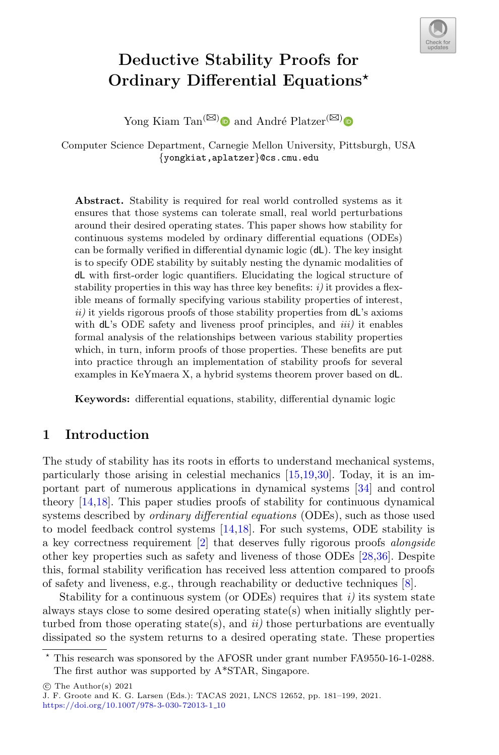

# Deductive Stability Proofs for Ordinary Differential Equations?

Yong Kiam Tan<sup>( $\boxtimes$ [\)](http://orcid.org/0000-0001-7238-5710)</sup> and André Platzer<sup>( $\boxtimes$ )</sup>

Computer Science Department, Carnegie Mellon University, Pittsburgh, USA {yongkiat,aplatzer}@cs.cmu.edu

Abstract. Stability is required for real world controlled systems as it ensures that those systems can tolerate small, real world perturbations around their desired operating states. This paper shows how stability for continuous systems modeled by ordinary differential equations (ODEs) can be formally verified in differential dynamic logic (dL). The key insight is to specify ODE stability by suitably nesting the dynamic modalities of dL with first-order logic quantifiers. Elucidating the logical structure of stability properties in this way has three key benefits:  $i$ ) it provides a flexible means of formally specifying various stability properties of interest,  $ii)$  it yields rigorous proofs of those stability properties from  $dL$ 's axioms with  $dL$ 's ODE safety and liveness proof principles, and  $iii$ ) it enables formal analysis of the relationships between various stability properties which, in turn, inform proofs of those properties. These benefits are put into practice through an implementation of stability proofs for several examples in KeYmaera X, a hybrid systems theorem prover based on dL.

Keywords: differential equations, stability, differential dynamic logic

# 1 Introduction

The study of stability has its roots in efforts to understand mechanical systems, particularly those arising in celestial mechanics [\[15](#page-16-0)[,19,](#page-17-0)[30\]](#page-17-1). Today, it is an important part of numerous applications in dynamical systems [\[34\]](#page-17-2) and control theory [\[14,](#page-16-1)[18\]](#page-17-3). This paper studies proofs of stability for continuous dynamical systems described by ordinary differential equations (ODEs), such as those used to model feedback control systems [\[14,](#page-16-1)[18\]](#page-17-3). For such systems, ODE stability is a key correctness requirement [\[2\]](#page-16-2) that deserves fully rigorous proofs alongside other key properties such as safety and liveness of those ODEs [\[28,](#page-17-4)[36\]](#page-17-5). Despite this, formal stability verification has received less attention compared to proofs of safety and liveness, e.g., through reachability or deductive techniques [\[8\]](#page-16-3).

Stability for a continuous system (or ODEs) requires that  $i$ ) its system state always stays close to some desired operating state(s) when initially slightly perturbed from those operating state(s), and  $ii$ ) those perturbations are eventually dissipated so the system returns to a desired operating state. These properties

<sup>?</sup> This research was sponsored by the AFOSR under grant number FA9550-16-1-0288. The first author was supported by A\*STAR, Singapore.

 $\circ$  The Author(s) 2021

J. F. Groote and K. G. Larsen (Eds.): TACAS 2021, LNCS 12652, pp. 181–199, 2021. [https://doi.org/10.1007/978-3-030-72013-1](https://doi.org/10.1007/978-3-030-72013-1_10) 10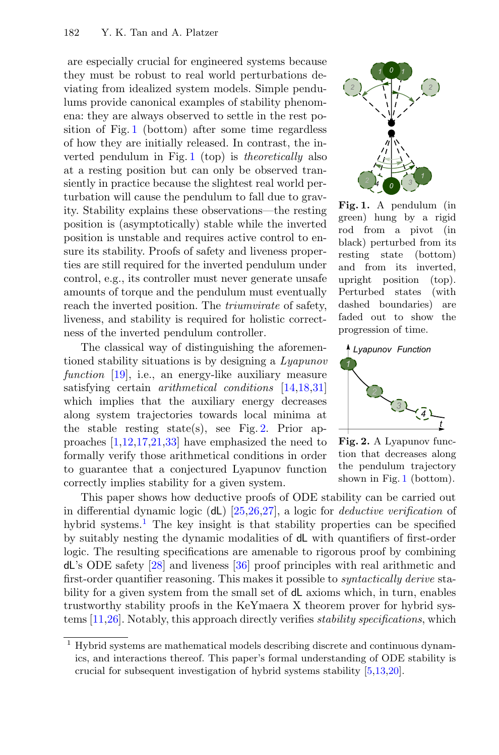are especially crucial for engineered systems because they must be robust to real world perturbations deviating from idealized system models. Simple pendulums provide canonical examples of stability phenomena: they are always observed to settle in the rest position of Fig. [1](#page-1-0) (bottom) after some time regardless of how they are initially released. In contrast, the inverted pendulum in Fig. [1](#page-1-0) (top) is theoretically also at a resting position but can only be observed transiently in practice because the slightest real world perturbation will cause the pendulum to fall due to gravity. Stability explains these observations—the resting position is (asymptotically) stable while the inverted position is unstable and requires active control to ensure its stability. Proofs of safety and liveness properties are still required for the inverted pendulum under control, e.g., its controller must never generate unsafe amounts of torque and the pendulum must eventually reach the inverted position. The triumvirate of safety, liveness, and stability is required for holistic correctness of the inverted pendulum controller.

The classical way of distinguishing the aforementioned stability situations is by designing a Lyapunov function [\[19\]](#page-17-0), i.e., an energy-like auxiliary measure satisfying certain *arithmetical conditions* [\[14,](#page-16-1)[18,](#page-17-3)[31\]](#page-17-6) which implies that the auxiliary energy decreases along system trajectories towards local minima at the stable resting state(s), see Fig. [2.](#page-1-1) Prior approaches  $[1,12,17,21,33]$  $[1,12,17,21,33]$  $[1,12,17,21,33]$  $[1,12,17,21,33]$  $[1,12,17,21,33]$  have emphasized the need to formally verify those arithmetical conditions in order to guarantee that a conjectured Lyapunov function correctly implies stability for a given system.



<span id="page-1-0"></span>Fig. 1. A pendulum (in green) hung by a rigid rod from a pivot (in black) perturbed from its resting state (bottom) and from its inverted, upright position (top). Perturbed states (with dashed boundaries) are faded out to show the progression of time.



<span id="page-1-1"></span>Fig. 2. A Lyapunov function that decreases along the pendulum trajectory shown in Fig. [1](#page-1-0) (bottom).

This paper shows how deductive proofs of ODE stability can be carried out in differential dynamic logic (dL) [\[25,](#page-17-9)[26,](#page-17-10)[27\]](#page-17-11), a logic for deductive verification of hybrid systems.<sup>[1](#page-1-2)</sup> The key insight is that stability properties can be specified by suitably nesting the dynamic modalities of dL with quantifiers of first-order logic. The resulting specifications are amenable to rigorous proof by combining dL's ODE safety [\[28\]](#page-17-4) and liveness [\[36\]](#page-17-5) proof principles with real arithmetic and first-order quantifier reasoning. This makes it possible to *syntactically derive* stability for a given system from the small set of dL axioms which, in turn, enables trustworthy stability proofs in the KeYmaera X theorem prover for hybrid systems [\[11](#page-16-7)[,26\]](#page-17-10). Notably, this approach directly verifies stability specifications, which

<span id="page-1-2"></span><sup>1</sup> Hybrid systems are mathematical models describing discrete and continuous dynamics, and interactions thereof. This paper's formal understanding of ODE stability is crucial for subsequent investigation of hybrid systems stability [\[5,](#page-16-8)[13,](#page-16-9)[20\]](#page-17-12).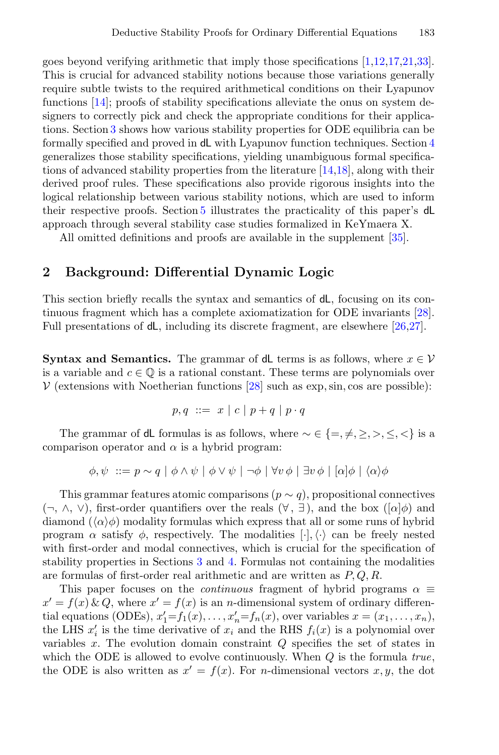goes beyond verifying arithmetic that imply those specifications [\[1,](#page-16-4)[12,](#page-16-5)[17,](#page-16-6)[21,](#page-17-7)[33\]](#page-17-8). This is crucial for advanced stability notions because those variations generally require subtle twists to the required arithmetical conditions on their Lyapunov functions [\[14\]](#page-16-1); proofs of stability specifications alleviate the onus on system designers to correctly pick and check the appropriate conditions for their applications. Section [3](#page-4-0) shows how various stability properties for ODE equilibria can be formally specified and proved in dL with Lyapunov function techniques. Section [4](#page-10-0) generalizes those stability specifications, yielding unambiguous formal specifications of advanced stability properties from the literature [\[14,](#page-16-1)[18\]](#page-17-3), along with their derived proof rules. These specifications also provide rigorous insights into the logical relationship between various stability notions, which are used to inform their respective proofs. Section [5](#page-13-0) illustrates the practicality of this paper's dL approach through several stability case studies formalized in KeYmaera X.

All omitted definitions and proofs are available in the supplement [\[35\]](#page-17-13).

## 2 Background: Differential Dynamic Logic

This section briefly recalls the syntax and semantics of dL, focusing on its continuous fragment which has a complete axiomatization for ODE invariants [\[28\]](#page-17-4). Full presentations of dL, including its discrete fragment, are elsewhere [\[26,](#page-17-10)[27\]](#page-17-11).

**Syntax and Semantics.** The grammar of dL terms is as follows, where  $x \in V$ is a variable and  $c \in \mathbb{Q}$  is a rational constant. These terms are polynomials over  $V$  (extensions with Noetherian functions [\[28\]](#page-17-4) such as exp, sin, cos are possible):

$$
p,q \ ::= \ x \ | \ c \ | \ p+q \ | \ p \cdot q
$$

The grammar of dL formulas is as follows, where  $\sim \in \{ =, \neq, \geq, >, \leq, < \}$  is a comparison operator and  $\alpha$  is a hybrid program:

$$
\phi, \psi \ ::= p \sim q \mid \phi \land \psi \mid \phi \lor \psi \mid \neg \phi \mid \forall v \phi \mid \exists v \phi \mid [\alpha] \phi \mid \langle \alpha \rangle \phi
$$

This grammar features atomic comparisons ( $p \sim q$ ), propositional connectives  $(\neg, \wedge, \vee)$ , first-order quantifiers over the reals  $(\forall, \exists)$ , and the box  $([\alpha]\phi)$  and diamond  $(\langle \alpha \rangle \phi)$  modality formulas which express that all or some runs of hybrid program  $\alpha$  satisfy  $\phi$ , respectively. The modalities  $[\cdot], \langle \cdot \rangle$  can be freely nested with first-order and modal connectives, which is crucial for the specification of stability properties in Sections [3](#page-4-0) and [4.](#page-10-0) Formulas not containing the modalities are formulas of first-order real arithmetic and are written as  $P, Q, R$ .

This paper focuses on the *continuous* fragment of hybrid programs  $\alpha \equiv$  $x' = f(x) \& Q$ , where  $x' = f(x)$  is an *n*-dimensional system of ordinary differential equations (ODEs),  $x'_1 = f_1(x), \ldots, x'_n = f_n(x)$ , over variables  $x = (x_1, \ldots, x_n)$ , the LHS  $x_i'$  is the time derivative of  $x_i$  and the RHS  $f_i(x)$  is a polynomial over variables x. The evolution domain constraint Q specifies the set of states in which the ODE is allowed to evolve continuously. When  $Q$  is the formula true, the ODE is also written as  $x' = f(x)$ . For *n*-dimensional vectors x, y, the dot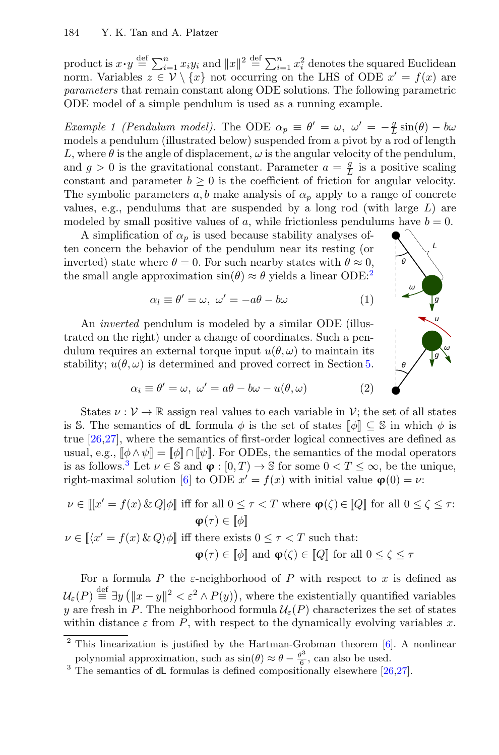product is  $x \cdot y \stackrel{\text{def}}{=} \sum_{i=1}^n x_i y_i$  and  $||x||^2 \stackrel{\text{def}}{=} \sum_{i=1}^n x_i^2$  denotes the squared Euclidean norm. Variables  $z \in \mathcal{V} \setminus \{x\}$  not occurring on the LHS of ODE  $x' = f(x)$  are parameters that remain constant along ODE solutions. The following parametric ODE model of a simple pendulum is used as a running example.

<span id="page-3-3"></span>Example 1 (Pendulum model). The ODE  $\alpha_p \equiv \theta' = \omega$ ,  $\omega' = -\frac{g}{L}\sin(\theta) - b\omega$ models a pendulum (illustrated below) suspended from a pivot by a rod of length L, where  $\theta$  is the angle of displacement,  $\omega$  is the angular velocity of the pendulum, and  $g > 0$  is the gravitational constant. Parameter  $a = \frac{g}{L}$  is a positive scaling constant and parameter  $b \geq 0$  is the coefficient of friction for angular velocity. The symbolic parameters  $a, b$  make analysis of  $\alpha_p$  apply to a range of concrete values, e.g., pendulums that are suspended by a long rod (with large  $L$ ) are modeled by small positive values of a, while frictionless pendulums have  $b = 0$ .

A simplification of  $\alpha_n$  is used because stability analyses often concern the behavior of the pendulum near its resting (or inverted) state where  $\theta = 0$ . For such nearby states with  $\theta \approx 0$ . the small angle approximation  $\sin(\theta) \approx \theta$  yields a linear ODE:<sup>[2](#page-3-0)</sup>

$$
\alpha_l \equiv \theta' = \omega, \ \omega' = -a\theta - b\omega \tag{1}
$$

An *inverted* pendulum is modeled by a similar ODE (illustrated on the right) under a change of coordinates. Such a pendulum requires an external torque input  $u(\theta, \omega)$  to maintain its stability;  $u(\theta, \omega)$  is determined and proved correct in Section [5.](#page-13-0)

<span id="page-3-4"></span><span id="page-3-2"></span>

L

$$
\alpha_i \equiv \theta' = \omega, \ \omega' = a\theta - b\omega - u(\theta, \omega) \tag{2}
$$

States  $\nu : \mathcal{V} \to \mathbb{R}$  assign real values to each variable in  $\mathcal{V}$ ; the set of all states is S. The semantics of **dL** formula  $\phi$  is the set of states  $[\![\phi]\!] \subseteq \mathbb{S}$  in which  $\phi$  is true [\[26](#page-17-10)[,27\]](#page-17-11), where the semantics of first-order logical connectives are defined as usual, e.g.,  $[\![\phi \land \psi]]=[\![\phi]\!] \cap [\![\psi]\!]$ . For ODEs, the semantics of the modal operators is as follows.<sup>[3](#page-3-1)</sup> Let  $\nu \in \mathbb{S}$  and  $\varphi : [0, T) \to \mathbb{S}$  for some  $0 < T \leq \infty$ , be the unique, right-maximal solution [\[6\]](#page-16-10) to ODE  $x' = f(x)$  with initial value  $\varphi(0) = \nu$ :

$$
\nu \in [[x' = f(x) \& Q] \phi] \text{ iff for all } 0 \le \tau < T \text{ where } \phi(\zeta) \in [Q] \text{ for all } 0 \le \zeta \le \tau:
$$
\n
$$
\phi(\tau) \in [\![\phi]\!]
$$
\n
$$
\nu \in [[\langle x' = f(x) \& Q \rangle \phi] \text{ iff there exists } 0 \le \tau < T \text{ such that:}
$$
\n
$$
\phi(\tau) \in [\![\phi]\!]
$$
\n
$$
\phi(\zeta) \in [\![Q]\!]
$$
\nfor all  $0 \le \zeta \le \tau$ 

For a formula P the  $\varepsilon$ -neighborhood of P with respect to x is defined as  $\mathcal{U}_{\varepsilon}(P) \stackrel{\text{def}}{=} \exists y (\|x-y\|^2 < \varepsilon^2 \wedge P(y)),$  where the existentially quantified variables y are fresh in P. The neighborhood formula  $\mathcal{U}_{\varepsilon}(P)$  characterizes the set of states within distance  $\varepsilon$  from P, with respect to the dynamically evolving variables x.

<span id="page-3-0"></span> $2$  This linearization is justified by the Hartman-Grobman theorem [\[6\]](#page-16-10). A nonlinear polynomial approximation, such as  $\sin(\theta) \approx \theta - \frac{\theta^3}{6}$  $\frac{90}{6}$ , can also be used.

<span id="page-3-1"></span> $3$  The semantics of dL formulas is defined compositionally elsewhere [ $26,27$ ].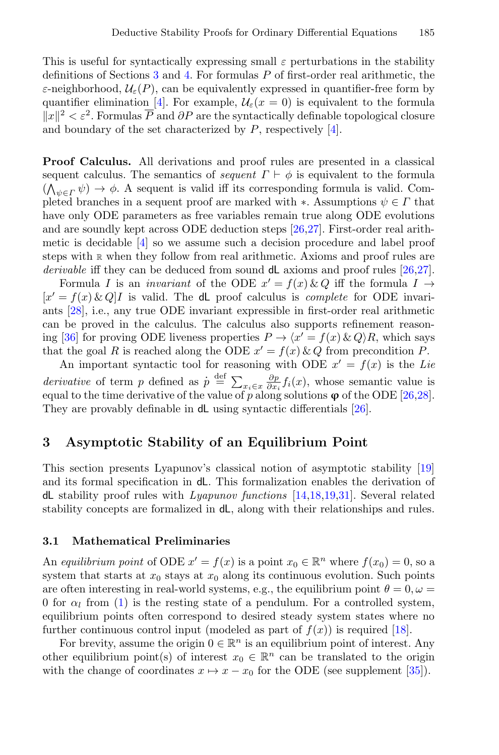This is useful for syntactically expressing small  $\varepsilon$  perturbations in the stability definitions of Sections [3](#page-4-0) and [4.](#page-10-0) For formulas  $P$  of first-order real arithmetic, the ε-neighborhood,  $\mathcal{U}_{\varepsilon}(P)$ , can be equivalently expressed in quantifier-free form by quantifier elimination [\[4\]](#page-16-11). For example,  $\mathcal{U}_{\varepsilon}(x=0)$  is equivalent to the formula  $||x||^2 < \varepsilon^2$ . Formulas  $\overline{P}$  and  $\partial P$  are the syntactically definable topological closure and boundary of the set characterized by  $P$ , respectively [\[4\]](#page-16-11).

<span id="page-4-1"></span>Proof Calculus. All derivations and proof rules are presented in a classical sequent calculus. The semantics of *sequent*  $\Gamma \vdash \phi$  is equivalent to the formula  $(\bigwedge_{\psi \in \Gamma} \psi) \to \phi$ . A sequent is valid iff its corresponding formula is valid. Completed branches in a sequent proof are marked with  $\ast$ . Assumptions  $\psi \in \Gamma$  that have only ODE parameters as free variables remain true along ODE evolutions and are soundly kept across ODE deduction steps [\[26](#page-17-10)[,27\]](#page-17-11). First-order real arithmetic is decidable [\[4\]](#page-16-11) so we assume such a decision procedure and label proof steps with [R](#page-4-1) when they follow from real arithmetic. Axioms and proof rules are derivable iff they can be deduced from sound  $dL$  axioms and proof rules [\[26,](#page-17-10)[27\]](#page-17-11).

Formula I is an *invariant* of the ODE  $x' = f(x) \& Q$  iff the formula  $I \rightarrow$  $[x' = f(x) \& Q]$ I is valid. The dL proof calculus is *complete* for ODE invariants [\[28\]](#page-17-4), i.e., any true ODE invariant expressible in first-order real arithmetic can be proved in the calculus. The calculus also supports refinement reason-ing [\[36\]](#page-17-5) for proving ODE liveness properties  $P \to \langle x' = f(x) \& Q \rangle R$ , which says that the goal R is reached along the ODE  $x' = f(x) \& Q$  from precondition P.

An important syntactic tool for reasoning with ODE  $x' = f(x)$  is the Lie derivative of term p defined as  $p \stackrel{\text{def}}{=} \sum_{x_i \in x} \frac{\partial p}{\partial x_i} f_i(x)$ , whose semantic value is equal to the time derivative of the value of p along solutions  $\varphi$  of the ODE [\[26,](#page-17-10)[28\]](#page-17-4). They are provably definable in dL using syntactic differentials [\[26\]](#page-17-10).

#### <span id="page-4-0"></span>3 Asymptotic Stability of an Equilibrium Point

This section presents Lyapunov's classical notion of asymptotic stability [\[19\]](#page-17-0) and its formal specification in dL. This formalization enables the derivation of dL stability proof rules with Lyapunov functions [\[14](#page-16-1)[,18,](#page-17-3)[19](#page-17-0)[,31\]](#page-17-6). Several related stability concepts are formalized in dL, along with their relationships and rules.

#### 3.1 Mathematical Preliminaries

An equilibrium point of ODE  $x' = f(x)$  is a point  $x_0 \in \mathbb{R}^n$  where  $f(x_0) = 0$ , so a system that starts at  $x_0$  stays at  $x_0$  along its continuous evolution. Such points are often interesting in real-world systems, e.g., the equilibrium point  $\theta = 0, \omega =$ 0 for  $\alpha_l$  from [\(1\)](#page-3-2) is the resting state of a pendulum. For a controlled system, equilibrium points often correspond to desired steady system states where no further continuous control input (modeled as part of  $f(x)$ ) is required [\[18\]](#page-17-3).

For brevity, assume the origin  $0 \in \mathbb{R}^n$  is an equilibrium point of interest. Any other equilibrium point(s) of interest  $x_0 \in \mathbb{R}^n$  can be translated to the origin with the change of coordinates  $x \mapsto x - x_0$  for the ODE (see supplement [\[35\]](#page-17-13)).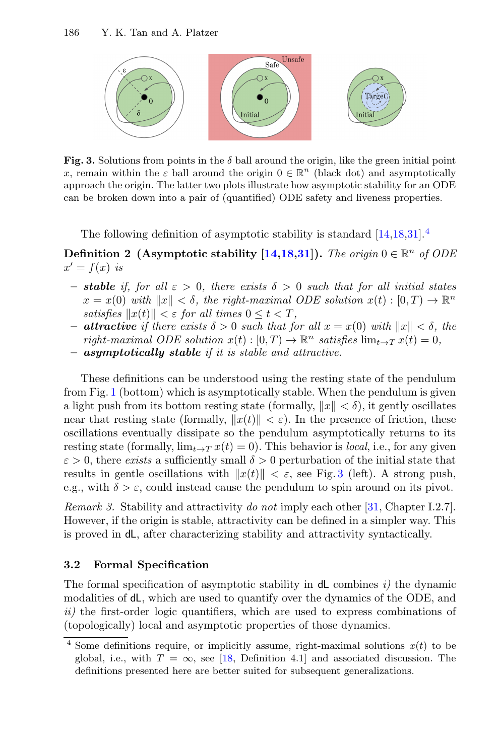

<span id="page-5-1"></span>Fig. 3. Solutions from points in the  $\delta$  ball around the origin, like the green initial point x, remain within the  $\varepsilon$  ball around the origin  $0 \in \mathbb{R}^n$  (black dot) and asymptotically approach the origin. The latter two plots illustrate how asymptotic stability for an ODE can be broken down into a pair of (quantified) ODE safety and liveness properties.

The following definition of asymptotic stability is standard  $[14,18,31]$  $[14,18,31]$  $[14,18,31]$ .<sup>[4](#page-5-0)</sup>

<span id="page-5-2"></span>Definition 2 (Asymptotic stability [\[14,](#page-16-1)[18,](#page-17-3)[31\]](#page-17-6)). The origin  $0 \in \mathbb{R}^n$  of ODE  $x' = f(x)$  is

- **stable** if, for all  $\varepsilon > 0$ , there exists  $\delta > 0$  such that for all initial states  $x = x(0)$  with  $||x|| < \delta$ , the right-maximal ODE solution  $x(t) : [0, T) \to \mathbb{R}^n$ satisfies  $||x(t)|| < \varepsilon$  for all times  $0 \le t < T$ ,
- **attractive** if there exists  $\delta > 0$  such that for all  $x = x(0)$  with  $||x|| < \delta$ , the right-maximal ODE solution  $x(t): [0,T) \to \mathbb{R}^n$  satisfies  $\lim_{t \to T} x(t) = 0$ ,
- asymptotically stable if it is stable and attractive.

These definitions can be understood using the resting state of the pendulum from Fig. [1](#page-1-0) (bottom) which is asymptotically stable. When the pendulum is given a light push from its bottom resting state (formally,  $||x|| < \delta$ ), it gently oscillates near that resting state (formally,  $||x(t)|| < \varepsilon$ ). In the presence of friction, these oscillations eventually dissipate so the pendulum asymptotically returns to its resting state (formally,  $\lim_{t\to T} x(t) = 0$ ). This behavior is *local*, i.e., for any given  $\varepsilon > 0$ , there exists a sufficiently small  $\delta > 0$  perturbation of the initial state that results in gentle oscillations with  $||x(t)|| < \varepsilon$ , see Fig. [3](#page-5-1) (left). A strong push, e.g., with  $\delta > \varepsilon$ , could instead cause the pendulum to spin around on its pivot.

Remark 3. Stability and attractivity do not imply each other [\[31,](#page-17-6) Chapter I.2.7]. However, if the origin is stable, attractivity can be defined in a simpler way. This is proved in dL, after characterizing stability and attractivity syntactically.

#### 3.2 Formal Specification

The formal specification of asymptotic stability in  $dL$  combines i) the dynamic modalities of dL, which are used to quantify over the dynamics of the ODE, and ii) the first-order logic quantifiers, which are used to express combinations of (topologically) local and asymptotic properties of those dynamics.

<span id="page-5-0"></span><sup>&</sup>lt;sup>4</sup> Some definitions require, or implicitly assume, right-maximal solutions  $x(t)$  to be global, i.e., with  $T = \infty$ , see [\[18,](#page-17-3) Definition 4.1] and associated discussion. The definitions presented here are better suited for subsequent generalizations.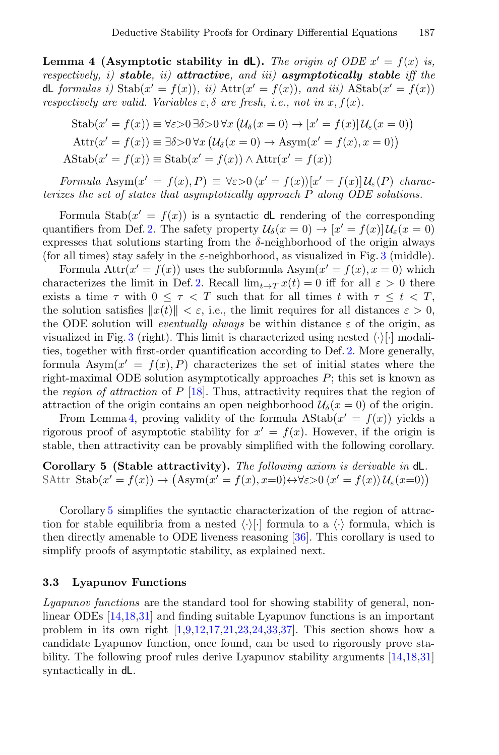Lemma 4 (Asymptotic stability in dL). The origin of ODE  $x' = f(x)$  is, respectively, i) stable, ii) attractive, and iii) asymptotically stable iff the dL formulas i)  $\text{Stab}(x' = f(x))$ , ii)  $\text{Attr}(x' = f(x))$ , and iii)  $\text{AStab}(x' = f(x))$ respectively are valid. Variables  $\varepsilon, \delta$  are fresh, i.e., not in x,  $f(x)$ .

<span id="page-6-0"></span>
$$
\text{Stab}(x' = f(x)) \equiv \forall \varepsilon > 0 \,\exists \delta > 0 \,\forall x \left( \mathcal{U}_{\delta}(x = 0) \to [x' = f(x)] \, \mathcal{U}_{\varepsilon}(x = 0) \right)
$$
\n
$$
\text{Attr}(x' = f(x)) \equiv \exists \delta > 0 \,\forall x \left( \mathcal{U}_{\delta}(x = 0) \to \text{Asym}(x' = f(x), x = 0) \right)
$$
\n
$$
\text{AStab}(x' = f(x)) \equiv \text{Stab}(x' = f(x)) \land \text{Attr}(x' = f(x))
$$

Formula Asym $(x' = f(x), P) \equiv \forall \varepsilon > 0 \, \langle x' = f(x) \rangle [x' = f(x)] \mathcal{U}_{\varepsilon}(P)$  characterizes the set of states that asymptotically approach P along ODE solutions.

Formula Stab $(x' = f(x))$  is a syntactic dL rendering of the corresponding quantifiers from Def. [2.](#page-5-2) The safety property  $\mathcal{U}_{\delta}(x=0) \to [x'=f(x)]\mathcal{U}_{\epsilon}(x=0)$ expresses that solutions starting from the  $\delta$ -neighborhood of the origin always (for all times) stay safely in the  $\varepsilon$ -neighborhood, as visualized in Fig. [3](#page-5-1) (middle).

Formula  $\text{Attr}(x' = f(x))$  uses the subformula  $\text{Asym}(x' = f(x), x = 0)$  which characterizes the limit in Def. [2.](#page-5-2) Recall  $\lim_{t\to T} x(t) = 0$  iff for all  $\varepsilon > 0$  there exists a time  $\tau$  with  $0 \leq \tau < T$  such that for all times t with  $\tau \leq t < T$ , the solution satisfies  $||x(t)|| < \varepsilon$ , i.e., the limit requires for all distances  $\varepsilon > 0$ , the ODE solution will *eventually always* be within distance  $\varepsilon$  of the origin, as visualized in Fig. [3](#page-5-1) (right). This limit is characterized using nested  $\langle \cdot \rangle$ . modalities, together with first-order quantification according to Def. [2.](#page-5-2) More generally, formula  $\text{Asym}(x' = f(x), P)$  characterizes the set of initial states where the right-maximal ODE solution asymptotically approaches  $P$ ; this set is known as the region of attraction of  $P$  [\[18\]](#page-17-3). Thus, attractivity requires that the region of attraction of the origin contains an open neighborhood  $\mathcal{U}_{\delta}(x=0)$  of the origin.

From Lemma [4,](#page-6-0) proving validity of the formula  $\text{AStab}(x' = f(x))$  yields a rigorous proof of asymptotic stability for  $x' = f(x)$ . However, if the origin is stable, then attractivity can be provably simplified with the following corollary.

Corollary 5 (Stable attractivity). The following axiom is derivable in dL. SAttr  $\text{Stab}(x' = f(x)) \to (\text{Asym}(x' = f(x), x=0) \leftrightarrow \forall \varepsilon > 0 \langle x' = f(x) \rangle \mathcal{U}_{\varepsilon}(x=0))$ 

<span id="page-6-1"></span>Corollary [5](#page-6-1) simplifies the syntactic characterization of the region of attraction for stable equilibria from a nested  $\langle \cdot \rangle$ . formula to a  $\langle \cdot \rangle$  formula, which is then directly amenable to ODE liveness reasoning [\[36\]](#page-17-5). This corollary is used to simplify proofs of asymptotic stability, as explained next.

#### 3.3 Lyapunov Functions

Lyapunov functions are the standard tool for showing stability of general, nonlinear ODEs [\[14,](#page-16-1)[18,](#page-17-3)[31\]](#page-17-6) and finding suitable Lyapunov functions is an important problem in its own right  $[1,9,12,17,21,23,24,33,37]$  $[1,9,12,17,21,23,24,33,37]$  $[1,9,12,17,21,23,24,33,37]$  $[1,9,12,17,21,23,24,33,37]$  $[1,9,12,17,21,23,24,33,37]$  $[1,9,12,17,21,23,24,33,37]$  $[1,9,12,17,21,23,24,33,37]$  $[1,9,12,17,21,23,24,33,37]$  $[1,9,12,17,21,23,24,33,37]$ . This section shows how a candidate Lyapunov function, once found, can be used to rigorously prove stability. The following proof rules derive Lyapunov stability arguments [\[14,](#page-16-1)[18,](#page-17-3)[31\]](#page-17-6) syntactically in dL.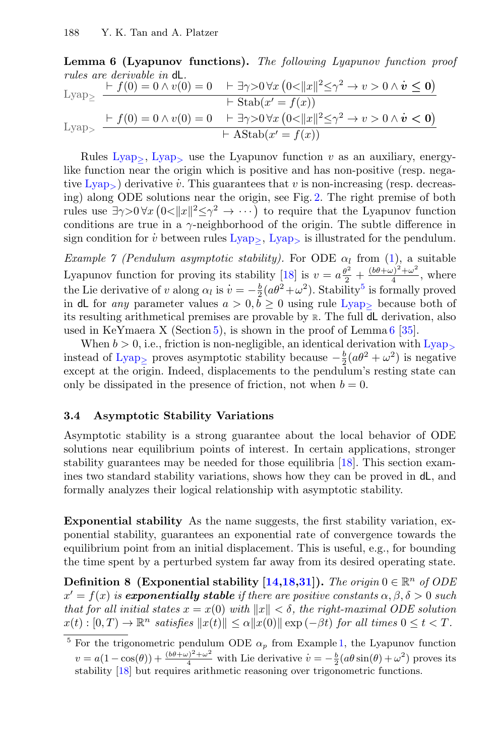Lemma 6 (Lyapunov functions). The following Lyapunov function proof rules are derivable in dL.

<span id="page-7-0"></span>Lyap<sub>></sub> 
$$
\frac{\begin{array}{l}\nF(f(0) = 0 \land v(0) = 0 \quad \vdash \exists \gamma > 0 \forall x (0 < ||x||^2 \le \gamma^2 \to v > 0 \land \dot{v} \le 0)\n\end{array}}{\begin{array}{l}\nF(f(0) = 0 \land v(0) = 0 \quad \vdash \exists \gamma > 0 \forall x (0 < ||x||^2 \le \gamma^2 \to v > 0 \land \dot{v} < 0)\n\end{array}}\n\begin{array}{l}\nF(f(0) = 0 \land v(0) = 0 \quad \vdash \exists \gamma > 0 \forall x (0 < ||x||^2 \le \gamma^2 \to v > 0 \land \dot{v} < 0)\n\end{array}}
$$

<span id="page-7-1"></span>Rules [Lyap](#page-7-1)<sub>></sub>, Lyap<sub>></sub> use the Lyapunov function v as an auxiliary, energylike function near the origin which is positive and has non-positive (resp. nega-tive [Lyap](#page-7-1)<sub>></sub>) derivative  $\hat{v}$ . This guarantees that  $v$  is non-increasing (resp. decreasing) along ODE solutions near the origin, see Fig. [2.](#page-1-1) The right premise of both rules use  $\exists \gamma > 0 \forall x (0<||x||^2 \leq \gamma^2 \to \cdots)$  to require that the Lyapunov function conditions are true in a  $\gamma$ -neighborhood of the origin. The subtle difference in sign condition for  $\dot{v}$  between rules  $Lyap_>$  $Lyap_>$ ,  $Lyap_>$  is illustrated for the pendulum.

<span id="page-7-3"></span>Example 7 (Pendulum asymptotic stability). For ODE  $\alpha_l$  from [\(1\)](#page-3-2), a suitable Lyapunov function for proving its stability [\[18\]](#page-17-3) is  $v = a\frac{\theta^2}{2} + \frac{(b\theta + \omega)^2 + \omega^2}{4}$  $\frac{\partial f}{\partial 4} + \omega$ , where the Lie derivative of v along  $\alpha_l$  is  $v = -\frac{b}{2}(\alpha\theta^2 + \omega^2)$ . Stability<sup>[5](#page-7-2)</sup> is formally proved in dL for any parameter values  $a > 0, \bar{b} > 0$  using rule [Lyap](#page-7-0)<sub>p</sub> because both of its resulting arithmetical premises are provable by [R](#page-4-1). The full dL derivation, also used in KeYmaera X (Section [5\)](#page-13-0), is shown in the proof of Lemma  $6 \frac{35}{10}$  $6 \frac{35}{10}$ .

When  $b > 0$ , i.e., friction is non-negligible, an identical derivation with  $Lyap<sub>></sub>$  $Lyap<sub>></sub>$ instead of [Lyap](#page-7-0)<sub>≥</sub> proves asymptotic stability because  $-\frac{b}{2}(a\theta^2 + \omega^2)$  is negative except at the origin. Indeed, displacements to the pendulum's resting state can only be dissipated in the presence of friction, not when  $b = 0$ .

#### 3.4 Asymptotic Stability Variations

Asymptotic stability is a strong guarantee about the local behavior of ODE solutions near equilibrium points of interest. In certain applications, stronger stability guarantees may be needed for those equilibria [\[18\]](#page-17-3). This section examines two standard stability variations, shows how they can be proved in dL, and formally analyzes their logical relationship with asymptotic stability.

Exponential stability As the name suggests, the first stability variation, exponential stability, guarantees an exponential rate of convergence towards the equilibrium point from an initial displacement. This is useful, e.g., for bounding the time spent by a perturbed system far away from its desired operating state.

Definition 8 (Exponential stability [\[14,](#page-16-1)[18,](#page-17-3)[31\]](#page-17-6)). The origin  $0 \in \mathbb{R}^n$  of ODE  $x' = f(x)$  is **exponentially stable** if there are positive constants  $\alpha, \beta, \delta > 0$  such that for all initial states  $x = x(0)$  with  $||x|| < \delta$ , the right-maximal ODE solution  $x(t):[0,T)\to\mathbb{R}^n$  satisfies  $||x(t)|| \leq \alpha ||x(0)|| \exp(-\beta t)$  for all times  $0 \leq t < T$ .

<span id="page-7-2"></span><sup>&</sup>lt;sup>5</sup> For the trigonometric pendulum ODE  $\alpha_p$  from Example [1,](#page-3-3) the Lyapunov function  $v = a(1 - \cos(\theta)) + \frac{(b\theta + \omega)^2 + \omega^2}{4}$  with Lie derivative  $\dot{v} = -\frac{b}{2}(a\theta\sin(\theta) + \omega^2)$  proves its stability [\[18\]](#page-17-3) but requires arithmetic reasoning over trigonometric functions.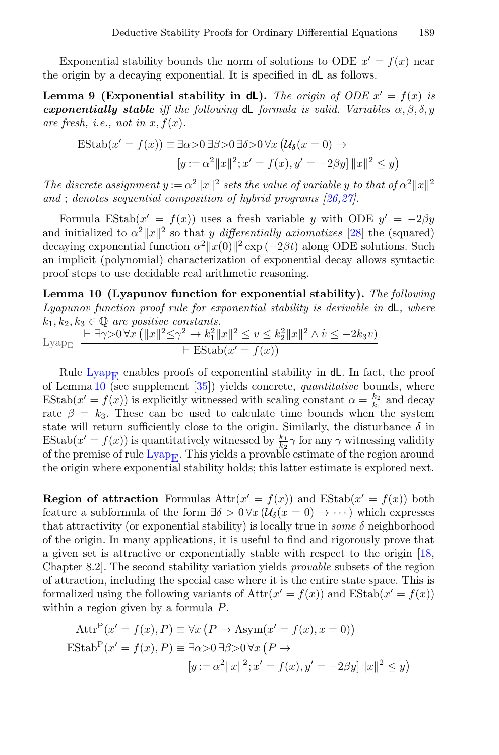Exponential stability bounds the norm of solutions to ODE  $x' = f(x)$  near the origin by a decaying exponential. It is specified in dL as follows.

Lemma 9 (Exponential stability in dL). The origin of ODE  $x' = f(x)$  is exponentially stable iff the following dL formula is valid. Variables  $\alpha, \beta, \delta, y$ are fresh, i.e., not in  $x, f(x)$ .

$$
\text{EStab}(x' = f(x)) \equiv \exists \alpha > 0 \,\exists \beta > 0 \,\exists \delta > 0 \,\forall x \left( \mathcal{U}_{\delta}(x = 0) \rightarrow \left[ y := \alpha^2 ||x||^2; x' = f(x), y' = -2\beta y \right] ||x||^2 \le y \right)
$$

The discrete assignment  $y := \alpha^2 ||x||^2$  sets the value of variable y to that of  $\alpha^2 ||x||^2$ and ; denotes sequential composition of hybrid programs  $[26,27]$  $[26,27]$ .

Formula EStab $(x' = f(x))$  uses a fresh variable y with ODE  $y' = -2\beta y$ and initialized to  $\alpha^2 ||x||^2$  so that y differentially axiomatizes [\[28\]](#page-17-4) the (squared) decaying exponential function  $\alpha^2 ||x(0)||^2$  exp (-2*βt*) along ODE solutions. Such an implicit (polynomial) characterization of exponential decay allows syntactic proof steps to use decidable real arithmetic reasoning.

Lemma 10 (Lyapunov function for exponential stability). The following Lyapunov function proof rule for exponential stability is derivable in  $dL$ , where  $k_1, k_2, k_3 \in \mathbb{Q}$  are positive constants.

<span id="page-8-0"></span>
$$
\text{Lyap}_{\text{E}} \frac{\vdash \exists \gamma > 0 \,\forall x \, (\|x\|^2 \leq \gamma^2 \to k_1^2 \|x\|^2 \leq v \leq k_2^2 \|x\|^2 \land \dot{v} \leq -2k_3 v)}{\vdash \text{EStab}(x' = f(x))}
$$

Rule Lyap<sub>E</sub> enables proofs of exponential stability in  $dL$ . In fact, the proof of Lemma  $10$  (see supplement  $[35]$ ) yields concrete, *quantitative* bounds, where EStab $(x' = f(x))$  is explicitly witnessed with scaling constant  $\alpha = \frac{k_2}{k_1}$  and decay rate  $\beta = k_3$ . These can be used to calculate time bounds when the system state will return sufficiently close to the origin. Similarly, the disturbance  $\delta$  in EStab $(x' = f(x))$  is quantitatively witnessed by  $\frac{k_1}{k_2} \gamma$  for any  $\gamma$  witnessing validity of the premise of rule  $Lyap_E$ . This yields a provable estimate of the region around the origin where exponential stability holds; this latter estimate is explored next.

**Region of attraction** Formulas  $Attr(x' = f(x))$  and  $EStab(x' = f(x))$  both feature a subformula of the form  $\exists \delta > 0 \forall x (\mathcal{U}_{\delta}(x = 0) \rightarrow \cdots)$  which expresses that attractivity (or exponential stability) is locally true in *some*  $\delta$  neighborhood of the origin. In many applications, it is useful to find and rigorously prove that a given set is attractive or exponentially stable with respect to the origin [\[18,](#page-17-3) Chapter 8.2]. The second stability variation yields provable subsets of the region of attraction, including the special case where it is the entire state space. This is formalized using the following variants of  $\text{Attr}(x' = f(x))$  and  $\text{EStab}(x' = f(x))$ within a region given by a formula P.

$$
\text{Attr}^{\text{P}}(x' = f(x), P) \equiv \forall x (P \to \text{Asym}(x' = f(x), x = 0))
$$

$$
\text{EStab}^{\text{P}}(x' = f(x), P) \equiv \exists \alpha > 0 \,\exists \beta > 0 \,\forall x (P \to
$$

$$
[y := \alpha^2 ||x||^2; x' = f(x), y' = -2\beta y] ||x||^2 \le y)
$$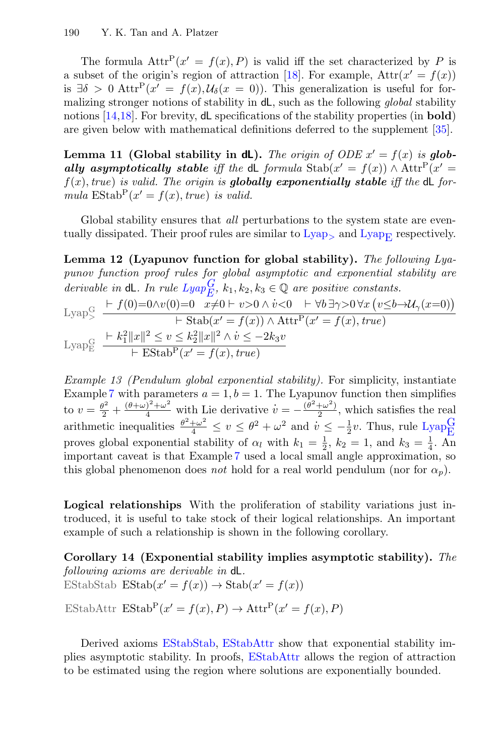The formula  $\text{Attr}^P(x' = f(x), P)$  is valid iff the set characterized by P is a subset of the origin's region of attraction [\[18\]](#page-17-3). For example,  $\text{Attr}(x' = f(x))$ is  $\exists \delta > 0$  Attr<sup>P</sup> $(x' = f(x), \mathcal{U}_{\delta}(x = 0))$ . This generalization is useful for formalizing stronger notions of stability in dL, such as the following global stability notions [\[14,](#page-16-1)[18\]](#page-17-3). For brevity, **d**L specifications of the stability properties (in **bold**) are given below with mathematical definitions deferred to the supplement [\[35\]](#page-17-13).

<span id="page-9-3"></span>Lemma 11 (Global stability in dL). The origin of ODE  $x' = f(x)$  is globally asymptotically stable iff the dL formula  $\text{Stab}(x' = f(x)) \wedge \text{Attr}^P(x' = f(x))$  $f(x)$ , true) is valid. The origin is globally exponentially stable iff the dL formula  $\text{EStab}^{\text{P}}(x' = f(x), \text{true})$  is valid.

Global stability ensures that *all* perturbations to the system state are eventually dissipated. Their proof rules are similar to  $Lyap<sub>></sub>$  $Lyap<sub>></sub>$  and  $Lyap<sub>E</sub>$  respectively.

Lemma 12 (Lyapunov function for global stability). The following Lyapunov function proof rules for global asymptotic and exponential stability are derivable in  $\mathsf{dL}$ . In rule  $Lyap_E^G$  $Lyap_E^G$ ,  $k_1, k_2, k_3 \in \mathbb{Q}$  are positive constants.

$$
\text{Lyap}_{\geq}^{\text{G}} \quad \frac{\vdash f(0)=0 \land v(0)=0 \quad x \neq 0 \vdash v>0 \land \dot{v}<0 \quad \vdash \forall b \exists \gamma>0 \forall x \left(v \leq b \rightarrow \mathcal{U}_{\gamma}(x=0)\right)}{\vdash \text{Stab}(x'=f(x)) \land \text{Attr}^{\text{P}}(x'=f(x), \text{true})}
$$
\n
$$
\text{Lyap}_{\text{E}}^{\text{G}} \quad \frac{\vdash k_1^2 \|x\|^2 \leq v \leq k_2^2 \|x\|^2 \land \dot{v} \leq -2k_3 v}{\vdash \text{Estab}^{\text{P}}(x'=f(x), \text{true})}
$$

<span id="page-9-4"></span><span id="page-9-0"></span>Example 13 (Pendulum global exponential stability). For simplicity, instantiate Example [7](#page-7-3) with parameters  $a = 1, b = 1$ . The Lyapunov function then simplifies to  $v = \frac{\theta^2}{2} + \frac{(\theta + \omega)^2 + \omega^2}{4}$  with Lie derivative  $v = -\frac{(\theta^2 + \omega^2)}{2}$  $\frac{+\omega}{2}$ , which satisfies the real arithmetic inequalities  $\frac{\theta^2 + \omega^2}{4} \le v \le \theta^2 + \omega^2$  and  $v \le -\frac{1}{2}v$ . Thus, rule  $\text{Lyap}_{\text{E}}^G$  $\text{Lyap}_{\text{E}}^G$  $\text{Lyap}_{\text{E}}^G$ proves global exponential stability of  $\alpha_l$  with  $k_1 = \frac{1}{2}$ ,  $k_2 = 1$ , and  $k_3 = \frac{1}{4}$ . An important caveat is that Example [7](#page-7-3) used a local small angle approximation, so this global phenomenon does not hold for a real world pendulum (nor for  $\alpha_n$ ).

Logical relationships With the proliferation of stability variations just introduced, it is useful to take stock of their logical relationships. An important example of such a relationship is shown in the following corollary.

<span id="page-9-1"></span>Corollary 14 (Exponential stability implies asymptotic stability). The following axioms are derivable in dL. EStabStab  $\text{EStab}(x' = f(x)) \to \text{Stab}(x' = f(x))$ EStabAttr  $\text{EStab}^P(x' = f(x), P) \to \text{Attr}^P(x' = f(x), P)$ 

<span id="page-9-2"></span>Derived axioms [EStabStab,](#page-9-1) [EStabAttr](#page-9-2) show that exponential stability implies asymptotic stability. In proofs, [EStabAttr](#page-9-2) allows the region of attraction to be estimated using the region where solutions are exponentially bounded.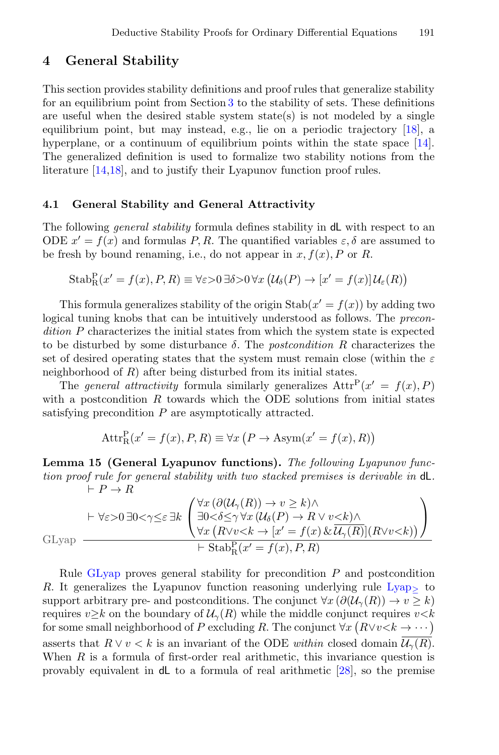## <span id="page-10-0"></span>4 General Stability

This section provides stability definitions and proof rules that generalize stability for an equilibrium point from Section [3](#page-4-0) to the stability of sets. These definitions are useful when the desired stable system state(s) is not modeled by a single equilibrium point, but may instead, e.g., lie on a periodic trajectory [\[18\]](#page-17-3), a hyperplane, or a continuum of equilibrium points within the state space [\[14\]](#page-16-1). The generalized definition is used to formalize two stability notions from the literature [\[14,](#page-16-1)[18\]](#page-17-3), and to justify their Lyapunov function proof rules.

#### 4.1 General Stability and General Attractivity

The following *general stability* formula defines stability in dL with respect to an ODE  $x' = f(x)$  and formulas P, R. The quantified variables  $\varepsilon, \delta$  are assumed to be fresh by bound renaming, i.e., do not appear in  $x, f(x), P$  or R.

$$
Stab_R^P(x' = f(x), P, R) \equiv \forall \varepsilon > 0 \,\exists \delta > 0 \,\forall x \, \big(\mathcal{U}_{\delta}(P) \to [x' = f(x)] \,\mathcal{U}_{\varepsilon}(R)\big)
$$

This formula generalizes stability of the origin  $\text{Stab}(x' = f(x))$  by adding two logical tuning knobs that can be intuitively understood as follows. The precondition P characterizes the initial states from which the system state is expected to be disturbed by some disturbance  $\delta$ . The *postcondition R* characterizes the set of desired operating states that the system must remain close (within the  $\varepsilon$ neighborhood of R) after being disturbed from its initial states.

The general attractivity formula similarly generalizes  $\text{Attr}^{\text{P}}(x' = f(x), P)$ with a postcondition  $R$  towards which the ODE solutions from initial states satisfying precondition P are asymptotically attracted.

$$
AttrRP(x' = f(x), P, R) \equiv \forall x (P \rightarrow Asym(x' = f(x), R))
$$

Lemma 15 (General Lyapunov functions). The following Lyapunov function proof rule for general stability with two stacked premises is derivable in dL.  $\vdash P \to R$ 

$$
\text{GLyap}\leftarrow \forall \varepsilon > 0 \,\exists 0 < \gamma \leq \varepsilon \,\exists k \,\begin{pmatrix} \forall x \, (\partial (\mathcal{U}_\gamma(R)) \to v \geq k) \land \\ \exists 0 < \delta \leq \gamma \,\forall x \, (\mathcal{U}_\delta(P) \to R \lor v < k) \land \\ \forall x \, (R \lor v < k \to [x' = f(x) \, \& \overline{\mathcal{U}_\gamma(R)}](R \lor v < k)) \\ \forall x \, (R \lor v < k \to [x' = f(x), P, R) \end{pmatrix}
$$

<span id="page-10-1"></span>Rule [GLyap](#page-10-1) proves general stability for precondition  $P$  and postcondition R. It generalizes the [Lyap](#page-7-0)unov function reasoning underlying rule  $Lyap<sub>></sub>$  to support arbitrary pre- and postconditions. The conjunct  $\forall x (\partial (\mathcal{U}_\gamma(R)) \to v \geq k)$ requires  $v \geq k$  on the boundary of  $\mathcal{U}_{\gamma}(R)$  while the middle conjunct requires  $v \leq k$ for some small neighborhood of P excluding R. The conjunct  $\forall x (R \lor v \leq k \to \cdots)$ asserts that  $R \vee v \leq k$  is an invariant of the ODE within closed domain  $\mathcal{U}_{\gamma}(R)$ . When  $R$  is a formula of first-order real arithmetic, this invariance question is provably equivalent in dL to a formula of real arithmetic [\[28\]](#page-17-4), so the premise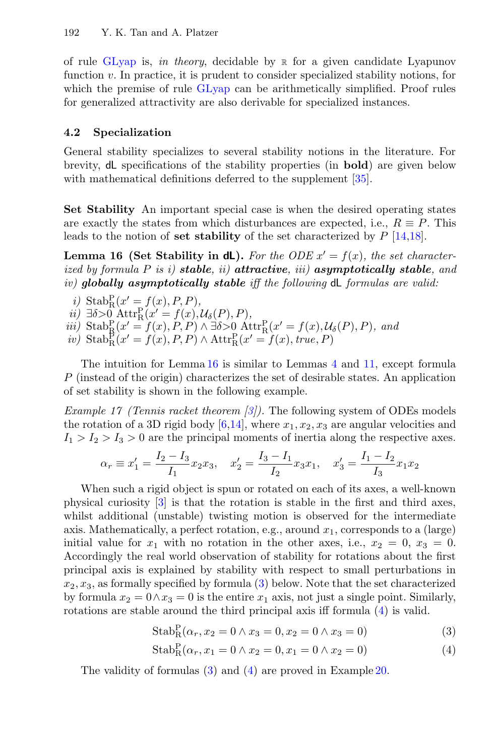of rule [GLyap](#page-10-1) is, in theory, decidable by  $\mathbb R$  $\mathbb R$  for a given candidate Lyapunov function  $v$ . In practice, it is prudent to consider specialized stability notions, for which the premise of rule [GLyap](#page-10-1) can be arithmetically simplified. Proof rules for generalized attractivity are also derivable for specialized instances.

#### 4.2 Specialization

General stability specializes to several stability notions in the literature. For brevity, dL specifications of the stability properties (in bold) are given below with mathematical definitions deferred to the supplement [\[35\]](#page-17-13).

Set Stability An important special case is when the desired operating states are exactly the states from which disturbances are expected, i.e.,  $R \equiv P$ . This leads to the notion of set stability of the set characterized by  $P$  [\[14,](#page-16-1)[18\]](#page-17-3).

**Lemma 16 (Set Stability in dL).** For the ODE  $x' = f(x)$ , the set characterized by formula  $P$  is i) stable, ii) attractive, iii) asymptotically stable, and iv) globally asymptotically stable iff the following  $dL$  formulas are valid:

- i) Stab $_{\rm R}^{\rm P}(x'=f(x), P, P),$
- $ii) \exists \delta > 0 \ \text{Attr}^{\text{P}}_{\text{R}}(x' = f(x), \mathcal{U}_{\delta}(P), P),$
- iii) Stab $_{\rm R}^{\rm P}(x'=f(x),P,P) \wedge \exists \delta > 0 \ \rm{Attr}_{R}^{\rm P}(x'=f(x),\mathcal{U}_{\delta}(P),P)$ , and
- <span id="page-11-0"></span>iv)  $\text{Stab}_{\text{R}}^{\text{P}}(x' = f(x), P, P) \wedge \text{Attr}_{\text{R}}^{\text{P}}(x' = f(x), \text{true}, P)$

The intuition for Lemma [16](#page-11-0) is similar to Lemmas [4](#page-6-0) and [11,](#page-9-3) except formula P (instead of the origin) characterizes the set of desirable states. An application of set stability is shown in the following example.

<span id="page-11-3"></span>*Example 17 (Tennis racket theorem [\[3\]](#page-16-13))*. The following system of ODEs models the rotation of a 3D rigid body  $[6,14]$  $[6,14]$ , where  $x_1, x_2, x_3$  are angular velocities and  $I_1 > I_2 > I_3 > 0$  are the principal moments of inertia along the respective axes.

$$
\alpha_r\equiv x_1'=\frac{I_2-I_3}{I_1}x_2x_3,\quad x_2'=\frac{I_3-I_1}{I_2}x_3x_1,\quad x_3'=\frac{I_1-I_2}{I_3}x_1x_2
$$

When such a rigid object is spun or rotated on each of its axes, a well-known physical curiosity [\[3\]](#page-16-13) is that the rotation is stable in the first and third axes, whilst additional (unstable) twisting motion is observed for the intermediate axis. Mathematically, a perfect rotation, e.g., around  $x_1$ , corresponds to a (large) initial value for  $x_1$  with no rotation in the other axes, i.e.,  $x_2 = 0$ ,  $x_3 = 0$ . Accordingly the real world observation of stability for rotations about the first principal axis is explained by stability with respect to small perturbations in  $x_2, x_3$ , as formally specified by formula  $(3)$  below. Note that the set characterized by formula  $x_2 = 0 \wedge x_3 = 0$  is the entire  $x_1$  axis, not just a single point. Similarly, rotations are stable around the third principal axis iff formula [\(4\)](#page-11-2) is valid.

<span id="page-11-1"></span>
$$
Stab_R^P(\alpha_r, x_2 = 0 \land x_3 = 0, x_2 = 0 \land x_3 = 0)
$$
\n(3)

<span id="page-11-2"></span>
$$
Stab_R^P(\alpha_r, x_1 = 0 \land x_2 = 0, x_1 = 0 \land x_2 = 0)
$$
\n(4)

The validity of formulas [\(3\)](#page-11-1) and [\(4\)](#page-11-2) are proved in Example [20.](#page-13-1)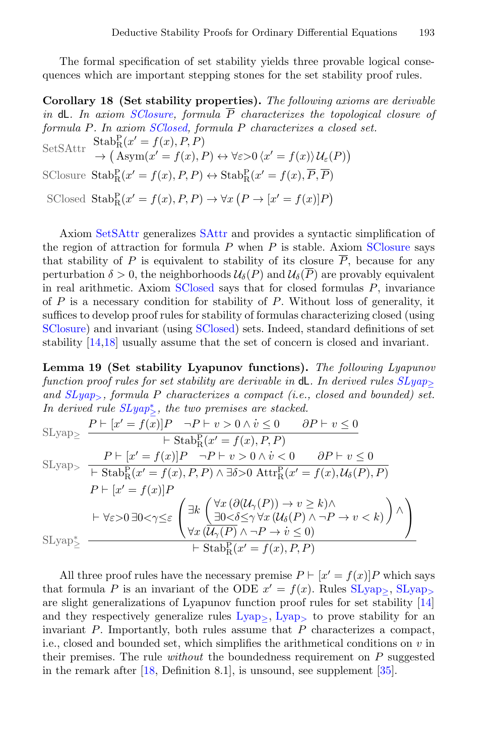The formal specification of set stability yields three provable logical consequences which are important stepping stones for the set stability proof rules.

<span id="page-12-2"></span>Corollary 18 (Set stability properties). The following axioms are derivable in dL. In axiom [SClosure,](#page-12-0) formula  $\overline{P}$  characterizes the topological closure of formula P. In axiom [SClosed,](#page-12-1) formula P characterizes a closed set. SetSAttr  $Stab_R^P(x' = f(x), P, P)$  $\rightarrow (\text{Asym}(x' = f(x), P) \leftrightarrow \forall \varepsilon > 0 \langle x' = f(x) \rangle \mathcal{U}_{\varepsilon}(P))$ SClosure  $\text{Stab}^{\text{P}}_{\text{R}}(x' = f(x), P, P) \leftrightarrow \text{Stab}^{\text{P}}_{\text{R}}(x' = f(x), \overline{P}, \overline{P})$ SClosed  $\text{Stab}_{R}^{P}(x' = f(x), P, P) \rightarrow \forall x (P \rightarrow [x' = f(x)]P)$ 

<span id="page-12-1"></span><span id="page-12-0"></span>Axiom [SetSAttr](#page-12-2) generalizes [SAttr](#page-6-1) and provides a syntactic simplification of the region of attraction for formula  $P$  when  $P$  is stable. Axiom [SClosure](#page-12-0) says that stability of P is equivalent to stability of its closure  $\overline{P}$ , because for any perturbation  $\delta > 0$ , the neighborhoods  $\mathcal{U}_{\delta}(P)$  and  $\mathcal{U}_{\delta}(\overline{P})$  are provably equivalent in real arithmetic. Axiom [SClosed](#page-12-1) says that for closed formulas  $P$ , invariance of  $P$  is a necessary condition for stability of  $P$ . Without loss of generality, it suffices to develop proof rules for stability of formulas characterizing closed (using [SClosure\)](#page-12-0) and invariant (using [SClosed\)](#page-12-1) sets. Indeed, standard definitions of set stability [\[14,](#page-16-1)[18\]](#page-17-3) usually assume that the set of concern is closed and invariant.

Lemma 19 (Set stability Lyapunov functions). The following Lyapunov function proof rules for set stability are derivable in  $dL$ . In derived rules  $SLu$ and  $SLyap_{>}$  $SLyap_{>}$ , formula P characterizes a compact (i.e., closed and bounded) set. In derived rule  $SLyap^*_{\geq}$  $SLyap^*_{\geq}$ , the two premises are stacked.

<span id="page-12-4"></span><span id="page-12-3"></span>
$$
\begin{aligned}\n\text{SLyap}_{\geq} & \xrightarrow{P \vdash [x' = f(x)]} \xrightarrow{P \vdash v > 0 \land v \leq 0} \qquad \partial P \vdash v \leq 0 \\
&\xrightarrow{P \vdash [x' = f(x)]} \xrightarrow{P \vdash v > 0 \land v < 0} \qquad \partial P \vdash v \leq 0 \\
\text{SLyap}_{\geq} & \xrightarrow{P \vdash [x' = f(x)]} \xrightarrow{P \vdash v > 0 \land v < 0} \qquad \partial P \vdash v \leq 0 \\
&\xrightarrow{P \vdash [x' = f(x)]} \xrightarrow{P \vdash v > 0 \land \exists \delta > 0 \text{ Attr}_{R}^{P}(x' = f(x), \mathcal{U}_{\delta}(P), P)} \\
&\xrightarrow{P \vdash [x' = f(x)]} \xrightarrow{P \vdash (x' \land \exists \delta > 0 \text{ Attr}_{R}^{P}(x' = f(x), \mathcal{U}_{\delta}(P)) \land \neg P \rightarrow v < k)} \\
&\xrightarrow{P \vdash \forall \varepsilon > 0 \exists 0 < \gamma \leq \varepsilon} \xrightarrow{f \exists \delta > 0 \text{ Attr}_{R}^{P}(x' = f(x), P, P)} \\
\text{SLyap}_{\geq} & \xrightarrow{P \vdash \forall x \text{ } (\mathcal{U}_{\gamma}(P) \land \neg P \rightarrow v \leq 0)} \xrightarrow{P \vdash \forall x \text{ } (\mathcal{U}_{\gamma}(P) \land \neg P \rightarrow v \leq 0)}\n\end{aligned}
$$

<span id="page-12-5"></span>All three proof rules have the necessary premise  $P \vdash [x' = f(x)]P$  which says that formula P is an invariant of the ODE  $x' = f(x)$ . Rules  $SLyap_{\geq}$  $SLyap_{\geq}$ ,  $SLyap_{\geq}$ are slight generalizations of Lyapunov function proof rules for set stability [\[14\]](#page-16-1) and they respectively generalize rules  $Lyap_>, Lyap_$  $Lyap_>, Lyap_$  to prove stability for an invariant  $P$ . Importantly, both rules assume that  $P$  characterizes a compact, i.e., closed and bounded set, which simplifies the arithmetical conditions on  $v$  in their premises. The rule *without* the boundedness requirement on  $P$  suggested in the remark after  $[18,$  Definition 8.1, is unsound, see supplement  $[35]$ .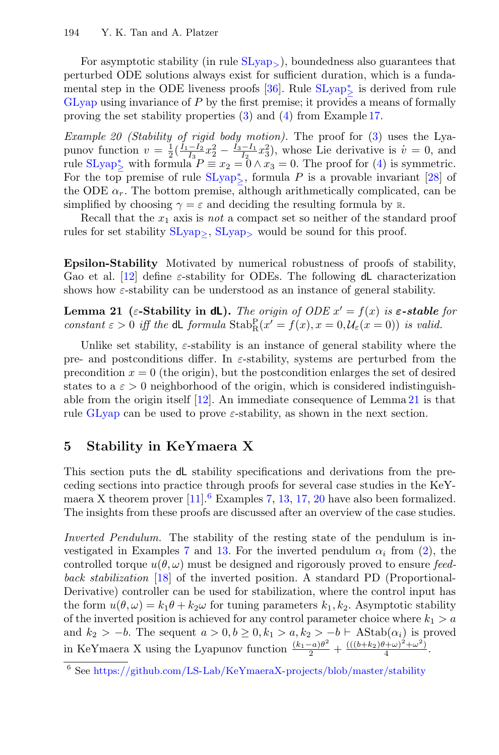For asymptotic stability (in rule [SLyap](#page-12-4)>), boundedness also guarantees that perturbed ODE solutions always exist for sufficient duration, which is a funda-mental step in the ODE liveness proofs [\[36\]](#page-17-5). Rule  $SLyap^*_{\geq}$  $SLyap^*_{\geq}$  is derived from rule [GLyap](#page-10-1) using invariance of  $P$  by the first premise; it provides a means of formally proving the set stability properties [\(3\)](#page-11-1) and [\(4\)](#page-11-2) from Example [17.](#page-11-3)

<span id="page-13-1"></span>Example 20 (Stability of rigid body motion). The proof for [\(3\)](#page-11-1) uses the Lyapunov function  $v = \frac{1}{2}(\frac{\tilde{I}_1 - \tilde{I}_2}{I_3 - I_2}x_2^2 - \frac{\tilde{I}_3 - \tilde{I}_1}{I_2}x_3^2)$ , whose Lie derivative is  $v = 0$ , and rule  $SLyap^*_{\geq}$  $SLyap^*_{\geq}$  with formula  $P \equiv x_2 = 0 \wedge x_3 = 0$ . The proof for [\(4\)](#page-11-2) is symmetric. For the top premise of rule  $SLyap^*_{\geq}$  $SLyap^*_{\geq}$ , formula P is a provable invariant [\[28\]](#page-17-4) of the ODE  $\alpha_r$ . The bottom premise, although arithmetically complicated, can be simplified by choosing  $\gamma = \varepsilon$  and deciding the resulting formula by [R](#page-4-1).

Recall that the  $x_1$  axis is not a compact set so neither of the standard proof rules for set stability  $SLyap_$  $SLyap_$ ,  $SLyap_$  would be sound for this proof.

Epsilon-Stability Motivated by numerical robustness of proofs of stability, Gao et al. [\[12\]](#page-16-5) define  $\varepsilon$ -stability for ODEs. The following dL characterization shows how  $\varepsilon$ -stability can be understood as an instance of general stability.

<span id="page-13-2"></span>Lemma 21 ( $\varepsilon$ -Stability in dL). The origin of ODE  $x' = f(x)$  is  $\varepsilon$ -stable for constant  $\varepsilon > 0$  iff the dL formula  $\text{Stab}_R^P(x' = f(x), x = 0, \mathcal{U}_\varepsilon(x = 0))$  is valid.

Unlike set stability,  $\varepsilon$ -stability is an instance of general stability where the pre- and postconditions differ. In  $\varepsilon$ -stability, systems are perturbed from the precondition  $x = 0$  (the origin), but the postcondition enlarges the set of desired states to a  $\varepsilon > 0$  neighborhood of the origin, which is considered indistinguishable from the origin itself [\[12\]](#page-16-5). An immediate consequence of Lemma [21](#page-13-2) is that rule [GLyap](#page-10-1) can be used to prove  $\varepsilon$ -stability, as shown in the next section.

# <span id="page-13-0"></span>5 Stability in KeYmaera X

This section puts the dL stability specifications and derivations from the preceding sections into practice through proofs for several case studies in the KeYmaera X theorem prover  $[11]$ .<sup>[6](#page-13-3)</sup> Examples [7,](#page-7-3) [13,](#page-9-4) [17,](#page-11-3) [20](#page-13-1) have also been formalized. The insights from these proofs are discussed after an overview of the case studies.

Inverted Pendulum. The stability of the resting state of the pendulum is in-vestigated in Examples [7](#page-7-3) and [13.](#page-9-4) For the inverted pendulum  $\alpha_i$  from [\(2\)](#page-3-4), the controlled torque  $u(\theta, \omega)$  must be designed and rigorously proved to ensure feedback stabilization [\[18\]](#page-17-3) of the inverted position. A standard PD (Proportional-Derivative) controller can be used for stabilization, where the control input has the form  $u(\theta, \omega) = k_1 \theta + k_2 \omega$  for tuning parameters  $k_1, k_2$ . Asymptotic stability of the inverted position is achieved for any control parameter choice where  $k_1 > a$ and  $k_2 > -b$ . The sequent  $a > 0, b \ge 0, k_1 > a, k_2 > -b$   $\vdash$  AStab $(\alpha_i)$  is proved in KeYmaera X using the Lyapunov function  $\frac{(k_1-a)\theta^2}{2} + \frac{(((b+k_2)\theta+\omega)^2+\omega^2)}{4}$  $\frac{(\pi + \omega) + \omega}{4}$ .

<span id="page-13-3"></span> $^6$  See <https://github.com/LS-Lab/KeYmaeraX-projects/blob/master/stability>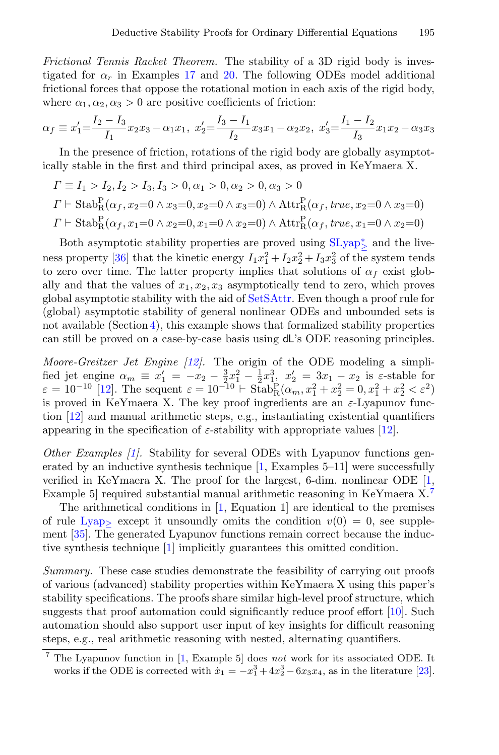Frictional Tennis Racket Theorem. The stability of a 3D rigid body is investigated for  $\alpha_r$  in Examples [17](#page-11-3) and [20.](#page-13-1) The following ODEs model additional frictional forces that oppose the rotational motion in each axis of the rigid body, where  $\alpha_1, \alpha_2, \alpha_3 > 0$  are positive coefficients of friction:

$$
\alpha_f \equiv x_1' = \frac{I_2 - I_3}{I_1} x_2 x_3 - \alpha_1 x_1, \ x_2' = \frac{I_3 - I_1}{I_2} x_3 x_1 - \alpha_2 x_2, \ x_3' = \frac{I_1 - I_2}{I_3} x_1 x_2 - \alpha_3 x_3
$$

In the presence of friction, rotations of the rigid body are globally asymptotically stable in the first and third principal axes, as proved in KeYmaera X.

$$
\Gamma \equiv I_1 > I_2, I_2 > I_3, I_3 > 0, \alpha_1 > 0, \alpha_2 > 0, \alpha_3 > 0
$$
  
\n
$$
\Gamma \vdash \text{Stab}_{R}^{P}(\alpha_f, x_2=0 \land x_3=0, x_2=0 \land x_3=0) \land \text{Attr}_{R}^{P}(\alpha_f, true, x_2=0 \land x_3=0)
$$
  
\n
$$
\Gamma \vdash \text{Stab}_{R}^{P}(\alpha_f, x_1=0 \land x_2=0, x_1=0 \land x_2=0) \land \text{Attr}_{R}^{P}(\alpha_f, true, x_1=0 \land x_2=0)
$$

Both asymptotic stability properties are proved using  $\text{SLyap}_{\geq}^{*}$  $\text{SLyap}_{\geq}^{*}$  $\text{SLyap}_{\geq}^{*}$  and the live-ness property [\[36\]](#page-17-5) that the kinetic energy  $I_1x_1^2 + I_2x_2^2 + I_3x_3^2$  of the system tends to zero over time. The latter property implies that solutions of  $\alpha_f$  exist globally and that the values of  $x_1, x_2, x_3$  asymptotically tend to zero, which proves global asymptotic stability with the aid of [SetSAttr.](#page-12-2) Even though a proof rule for (global) asymptotic stability of general nonlinear ODEs and unbounded sets is not available (Section [4\)](#page-10-0), this example shows that formalized stability properties can still be proved on a case-by-case basis using dL's ODE reasoning principles.

Moore-Greitzer Jet Engine  $[12]$ . The origin of the ODE modeling a simplified jet engine  $\alpha_m \equiv x'_1 = -x_2 - \frac{3}{2}x_1^2 - \frac{1}{2}x_1^3$ ,  $x'_2 = 3x_1 - x_2$  is  $\varepsilon$ -stable for  $\varepsilon = 10^{-10}$  [\[12\]](#page-16-5). The sequent  $\varepsilon = 10^{-10} \vdash \text{Stab}_{\text{R}}^{\text{P}}(\alpha_m, x_1^2 + x_2^2 = 0, x_1^2 + x_2^2 < \varepsilon^2)$ is proved in KeYmaera X. The key proof ingredients are an  $\varepsilon$ -Lyapunov function [\[12\]](#page-16-5) and manual arithmetic steps, e.g., instantiating existential quantifiers appearing in the specification of  $\varepsilon$ -stability with appropriate values [\[12\]](#page-16-5).

Other Examples [\[1\]](#page-16-4). Stability for several ODEs with Lyapunov functions generated by an inductive synthesis technique  $[1,$  Examples 5–11] were successfully verified in KeYmaera X. The proof for the largest, 6-dim. nonlinear ODE  $[1,$ Example 5 required substantial manual arithmetic reasoning in KeYmaera X.<sup>[7](#page-14-0)</sup>

The arithmetical conditions in  $[1,]$  $[1,]$  Equation 1 are identical to the premises of rule [Lyap](#page-7-0)<sub>></sub> except it unsoundly omits the condition  $v(0) = 0$ , see supplement [\[35\]](#page-17-13). The generated Lyapunov functions remain correct because the inductive synthesis technique [\[1\]](#page-16-4) implicitly guarantees this omitted condition.

Summary. These case studies demonstrate the feasibility of carrying out proofs of various (advanced) stability properties within KeYmaera X using this paper's stability specifications. The proofs share similar high-level proof structure, which suggests that proof automation could significantly reduce proof effort [\[10\]](#page-16-14). Such automation should also support user input of key insights for difficult reasoning steps, e.g., real arithmetic reasoning with nested, alternating quantifiers.

<span id="page-14-0"></span><sup>&</sup>lt;sup>7</sup> The Lyapunov function in [\[1,](#page-16-4) Example 5] does not work for its associated ODE. It works if the ODE is corrected with  $\dot{x}_1 = -x_1^3 + 4x_2^3 - 6x_3x_4$ , as in the literature [\[23\]](#page-17-14).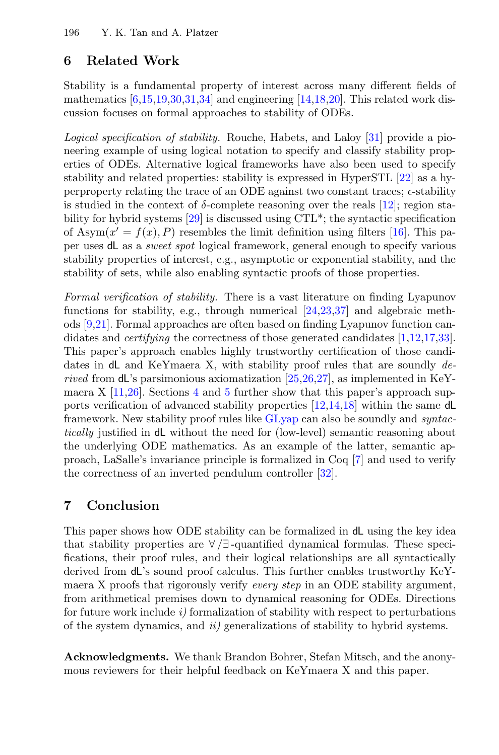# 6 Related Work

Stability is a fundamental property of interest across many different fields of mathematics [\[6,](#page-16-10)[15,](#page-16-0)[19](#page-17-0)[,30,](#page-17-1)[31,](#page-17-6)[34\]](#page-17-2) and engineering [\[14](#page-16-1)[,18,](#page-17-3)[20\]](#page-17-12). This related work discussion focuses on formal approaches to stability of ODEs.

Logical specification of stability. Rouche, Habets, and Laloy [\[31\]](#page-17-6) provide a pioneering example of using logical notation to specify and classify stability properties of ODEs. Alternative logical frameworks have also been used to specify stability and related properties: stability is expressed in HyperSTL [\[22\]](#page-17-17) as a hyperproperty relating the trace of an ODE against two constant traces;  $\epsilon$ -stability is studied in the context of  $\delta$ -complete reasoning over the reals [\[12\]](#page-16-5); region stability for hybrid systems [\[29\]](#page-17-18) is discussed using CTL\*; the syntactic specification of Asym $(x' = f(x), P)$  resembles the limit definition using filters [\[16\]](#page-16-15). This paper uses dL as a sweet spot logical framework, general enough to specify various stability properties of interest, e.g., asymptotic or exponential stability, and the stability of sets, while also enabling syntactic proofs of those properties.

Formal verification of stability. There is a vast literature on finding Lyapunov functions for stability, e.g., through numerical [\[24,](#page-17-15)[23](#page-17-14)[,37\]](#page-17-16) and algebraic methods [\[9](#page-16-12)[,21\]](#page-17-7). Formal approaches are often based on finding Lyapunov function candidates and *certifying* the correctness of those generated candidates [\[1,](#page-16-4)[12,](#page-16-5)[17,](#page-16-6)[33\]](#page-17-8). This paper's approach enables highly trustworthy certification of those candidates in  $dL$  and KeYmaera X, with stability proof rules that are soundly derived from  $d\mathsf{L}$ 's parsimonious axiomatization [\[25,](#page-17-9)[26](#page-17-10)[,27\]](#page-17-11), as implemented in KeYmaera X  $[11,26]$  $[11,26]$ . Sections [4](#page-10-0) and [5](#page-13-0) further show that this paper's approach supports verification of advanced stability properties [\[12,](#page-16-5)[14,](#page-16-1)[18\]](#page-17-3) within the same dL framework. New stability proof rules like [GLyap](#page-10-1) can also be soundly and *syntac*tically justified in dL without the need for (low-level) semantic reasoning about the underlying ODE mathematics. As an example of the latter, semantic approach, LaSalle's invariance principle is formalized in Coq [\[7\]](#page-16-16) and used to verify the correctness of an inverted pendulum controller [\[32\]](#page-17-19).

## 7 Conclusion

This paper shows how ODE stability can be formalized in dL using the key idea that stability properties are  $\forall$  /∃-quantified dynamical formulas. These specifications, their proof rules, and their logical relationships are all syntactically derived from dL's sound proof calculus. This further enables trustworthy KeYmaera X proofs that rigorously verify *every step* in an ODE stability argument, from arithmetical premises down to dynamical reasoning for ODEs. Directions for future work include  $i$ ) formalization of stability with respect to perturbations of the system dynamics, and ii) generalizations of stability to hybrid systems.

Acknowledgments. We thank Brandon Bohrer, Stefan Mitsch, and the anonymous reviewers for their helpful feedback on KeYmaera X and this paper.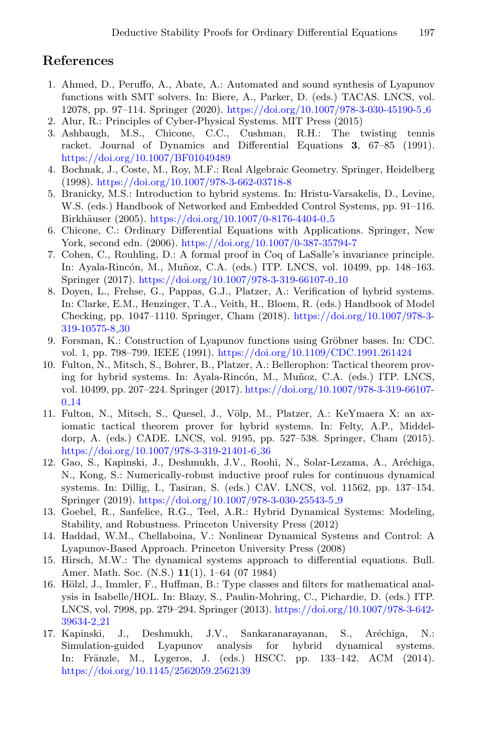## References

- <span id="page-16-4"></span>1. Ahmed, D., Peruffo, A., Abate, A.: Automated and sound synthesis of Lyapunov functions with SMT solvers. In: Biere, A., Parker, D. (eds.) TACAS. LNCS, vol. 12078, pp. 97–114. Springer (2020). [https://doi.org/10.1007/978-3-030-45190-5](https://doi.org/10.1007/978-3-030-45190-5_6) 6
- <span id="page-16-2"></span>2. Alur, R.: Principles of Cyber-Physical Systems. MIT Press (2015)
- <span id="page-16-13"></span>3. Ashbaugh, M.S., Chicone, C.C., Cushman, R.H.: The twisting tennis racket. Journal of Dynamics and Differential Equations 3, 67–85 (1991). <https://doi.org/10.1007/BF01049489>
- <span id="page-16-11"></span>4. Bochnak, J., Coste, M., Roy, M.F.: Real Algebraic Geometry. Springer, Heidelberg (1998). <https://doi.org/10.1007/978-3-662-03718-8>
- <span id="page-16-8"></span>5. Branicky, M.S.: Introduction to hybrid systems. In: Hristu-Varsakelis, D., Levine, W.S. (eds.) Handbook of Networked and Embedded Control Systems, pp. 91–116. Birkhäuser (2005). [https://doi.org/10.1007/0-8176-4404-0](https://doi.org/10.1007/0-8176-4404-0_5)<sub>-5</sub>
- <span id="page-16-10"></span>6. Chicone, C.: Ordinary Differential Equations with Applications. Springer, New York, second edn. (2006). <https://doi.org/10.1007/0-387-35794-7>
- <span id="page-16-16"></span>7. Cohen, C., Rouhling, D.: A formal proof in Coq of LaSalle's invariance principle. In: Ayala-Rincón, M., Muñoz, C.A. (eds.) ITP. LNCS, vol. 10499, pp. 148–163. Springer (2017). [https://doi.org/10.1007/978-3-319-66107-0](https://doi.org/10.1007/978-3-319-66107-0_10) 10
- <span id="page-16-3"></span>8. Doyen, L., Frehse, G., Pappas, G.J., Platzer, A.: Verification of hybrid systems. In: Clarke, E.M., Henzinger, T.A., Veith, H., Bloem, R. (eds.) Handbook of Model Checking, pp. 1047–1110. Springer, Cham (2018). [https://doi.org/10.1007/978-3-](https://doi.org/10.1007/978-3-319-10575-8_30) [319-10575-8](https://doi.org/10.1007/978-3-319-10575-8_30) 30
- <span id="page-16-12"></span>9. Forsman, K.: Construction of Lyapunov functions using Gröbner bases. In: CDC. vol. 1, pp. 798–799. IEEE (1991). <https://doi.org/10.1109/CDC.1991.261424>
- <span id="page-16-14"></span>10. Fulton, N., Mitsch, S., Bohrer, B., Platzer, A.: Bellerophon: Tactical theorem proving for hybrid systems. In: Ayala-Rincón, M., Muñoz, C.A. (eds.) ITP. LNCS, vol. 10499, pp. 207–224. Springer (2017). [https://doi.org/10.1007/978-3-319-66107-](https://doi.org/10.1007/978-3-319-66107-0_14) 0 [14](https://doi.org/10.1007/978-3-319-66107-0_14)
- <span id="page-16-7"></span>11. Fulton, N., Mitsch, S., Quesel, J., V¨olp, M., Platzer, A.: KeYmaera X: an axiomatic tactical theorem prover for hybrid systems. In: Felty, A.P., Middeldorp, A. (eds.) CADE. LNCS, vol. 9195, pp. 527–538. Springer, Cham (2015). [https://doi.org/10.1007/978-3-319-21401-6](https://doi.org/10.1007/978-3-319-21401-6_36) 36
- <span id="page-16-5"></span>12. Gao, S., Kapinski, J., Deshmukh, J.V., Roohi, N., Solar-Lezama, A., Aréchiga, N., Kong, S.: Numerically-robust inductive proof rules for continuous dynamical systems. In: Dillig, I., Tasiran, S. (eds.) CAV. LNCS, vol. 11562, pp. 137–154. Springer (2019). [https://doi.org/10.1007/978-3-030-25543-5](https://doi.org/10.1007/978-3-030-25543-5_9) 9
- <span id="page-16-9"></span>13. Goebel, R., Sanfelice, R.G., Teel, A.R.: Hybrid Dynamical Systems: Modeling, Stability, and Robustness. Princeton University Press (2012)
- <span id="page-16-1"></span>14. Haddad, W.M., Chellaboina, V.: Nonlinear Dynamical Systems and Control: A Lyapunov-Based Approach. Princeton University Press (2008)
- <span id="page-16-0"></span>15. Hirsch, M.W.: The dynamical systems approach to differential equations. Bull. Amer. Math. Soc. (N.S.) 11(1), 1–64 (07 1984)
- <span id="page-16-15"></span>16. Hölzl, J., Immler, F., Huffman, B.: Type classes and filters for mathematical analysis in Isabelle/HOL. In: Blazy, S., Paulin-Mohring, C., Pichardie, D. (eds.) ITP. LNCS, vol. 7998, pp. 279–294. Springer (2013). [https://doi.org/10.1007/978-3-642-](https://doi.org/10.1007/978-3-642-39634-2_21) [39634-2](https://doi.org/10.1007/978-3-642-39634-2_21) 21
- <span id="page-16-6"></span>17. Kapinski, J., Deshmukh, J.V., Sankaranarayanan, S., Aréchiga, N.: Simulation-guided Lyapunov analysis for hybrid dynamical systems. In: Fränzle, M., Lygeros, J. (eds.) HSCC. pp. 133–142. ACM (2014). <https://doi.org/10.1145/2562059.2562139>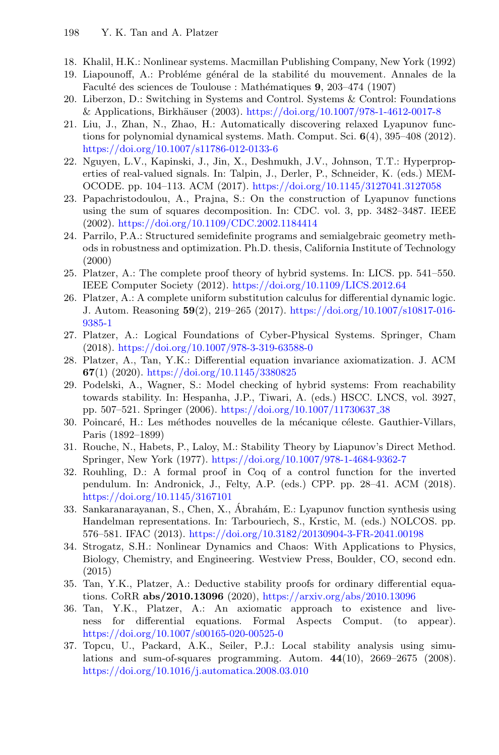- <span id="page-17-3"></span>18. Khalil, H.K.: Nonlinear systems. Macmillan Publishing Company, New York (1992)
- <span id="page-17-0"></span>19. Liapounoff, A.: Probléme général de la stabilité du mouvement. Annales de la Faculté des sciences de Toulouse : Mathématiques 9, 203-474 (1907)
- <span id="page-17-12"></span>20. Liberzon, D.: Switching in Systems and Control. Systems & Control: Foundations & Applications, Birkh¨auser (2003). <https://doi.org/10.1007/978-1-4612-0017-8>
- <span id="page-17-7"></span>21. Liu, J., Zhan, N., Zhao, H.: Automatically discovering relaxed Lyapunov functions for polynomial dynamical systems. Math. Comput. Sci.  $6(4)$ , 395–408 (2012). <https://doi.org/10.1007/s11786-012-0133-6>
- <span id="page-17-17"></span>22. Nguyen, L.V., Kapinski, J., Jin, X., Deshmukh, J.V., Johnson, T.T.: Hyperproperties of real-valued signals. In: Talpin, J., Derler, P., Schneider, K. (eds.) MEM-OCODE. pp. 104–113. ACM (2017). <https://doi.org/10.1145/3127041.3127058>
- <span id="page-17-14"></span>23. Papachristodoulou, A., Prajna, S.: On the construction of Lyapunov functions using the sum of squares decomposition. In: CDC. vol. 3, pp. 3482–3487. IEEE (2002). <https://doi.org/10.1109/CDC.2002.1184414>
- <span id="page-17-15"></span>24. Parrilo, P.A.: Structured semidefinite programs and semialgebraic geometry methods in robustness and optimization. Ph.D. thesis, California Institute of Technology (2000)
- <span id="page-17-9"></span>25. Platzer, A.: The complete proof theory of hybrid systems. In: LICS. pp. 541–550. IEEE Computer Society (2012). <https://doi.org/10.1109/LICS.2012.64>
- <span id="page-17-10"></span>26. Platzer, A.: A complete uniform substitution calculus for differential dynamic logic. J. Autom. Reasoning 59(2), 219–265 (2017). [https://doi.org/10.1007/s10817-016-](https://doi.org/10.1007/s10817-016-9385-1) [9385-1](https://doi.org/10.1007/s10817-016-9385-1)
- <span id="page-17-11"></span>27. Platzer, A.: Logical Foundations of Cyber-Physical Systems. Springer, Cham (2018). <https://doi.org/10.1007/978-3-319-63588-0>
- <span id="page-17-4"></span>28. Platzer, A., Tan, Y.K.: Differential equation invariance axiomatization. J. ACM 67(1) (2020). <https://doi.org/10.1145/3380825>
- <span id="page-17-18"></span>29. Podelski, A., Wagner, S.: Model checking of hybrid systems: From reachability towards stability. In: Hespanha, J.P., Tiwari, A. (eds.) HSCC. LNCS, vol. 3927, pp. 507–521. Springer (2006). [https://doi.org/10.1007/11730637](https://doi.org/10.1007/11730637_38) 38
- <span id="page-17-1"></span>30. Poincaré, H.: Les méthodes nouvelles de la mécanique céleste. Gauthier-Villars, Paris (1892–1899)
- <span id="page-17-6"></span>31. Rouche, N., Habets, P., Laloy, M.: Stability Theory by Liapunov's Direct Method. Springer, New York (1977). <https://doi.org/10.1007/978-1-4684-9362-7>
- <span id="page-17-19"></span>32. Rouhling, D.: A formal proof in Coq of a control function for the inverted pendulum. In: Andronick, J., Felty, A.P. (eds.) CPP. pp. 28–41. ACM (2018). <https://doi.org/10.1145/3167101>
- <span id="page-17-8"></span>33. Sankaranarayanan, S., Chen, X., Ábrahám, E.: Lyapunov function synthesis using Handelman representations. In: Tarbouriech, S., Krstic, M. (eds.) NOLCOS. pp. 576–581. IFAC (2013). <https://doi.org/10.3182/20130904-3-FR-2041.00198>
- <span id="page-17-2"></span>34. Strogatz, S.H.: Nonlinear Dynamics and Chaos: With Applications to Physics, Biology, Chemistry, and Engineering. Westview Press, Boulder, CO, second edn. (2015)
- <span id="page-17-13"></span>35. Tan, Y.K., Platzer, A.: Deductive stability proofs for ordinary differential equations. CoRR abs/2010.13096 (2020), <https://arxiv.org/abs/2010.13096>
- <span id="page-17-5"></span>36. Tan, Y.K., Platzer, A.: An axiomatic approach to existence and liveness for differential equations. Formal Aspects Comput. (to appear). <https://doi.org/10.1007/s00165-020-00525-0>
- <span id="page-17-16"></span>37. Topcu, U., Packard, A.K., Seiler, P.J.: Local stability analysis using simulations and sum-of-squares programming. Autom. 44(10), 2669–2675 (2008). <https://doi.org/10.1016/j.automatica.2008.03.010>